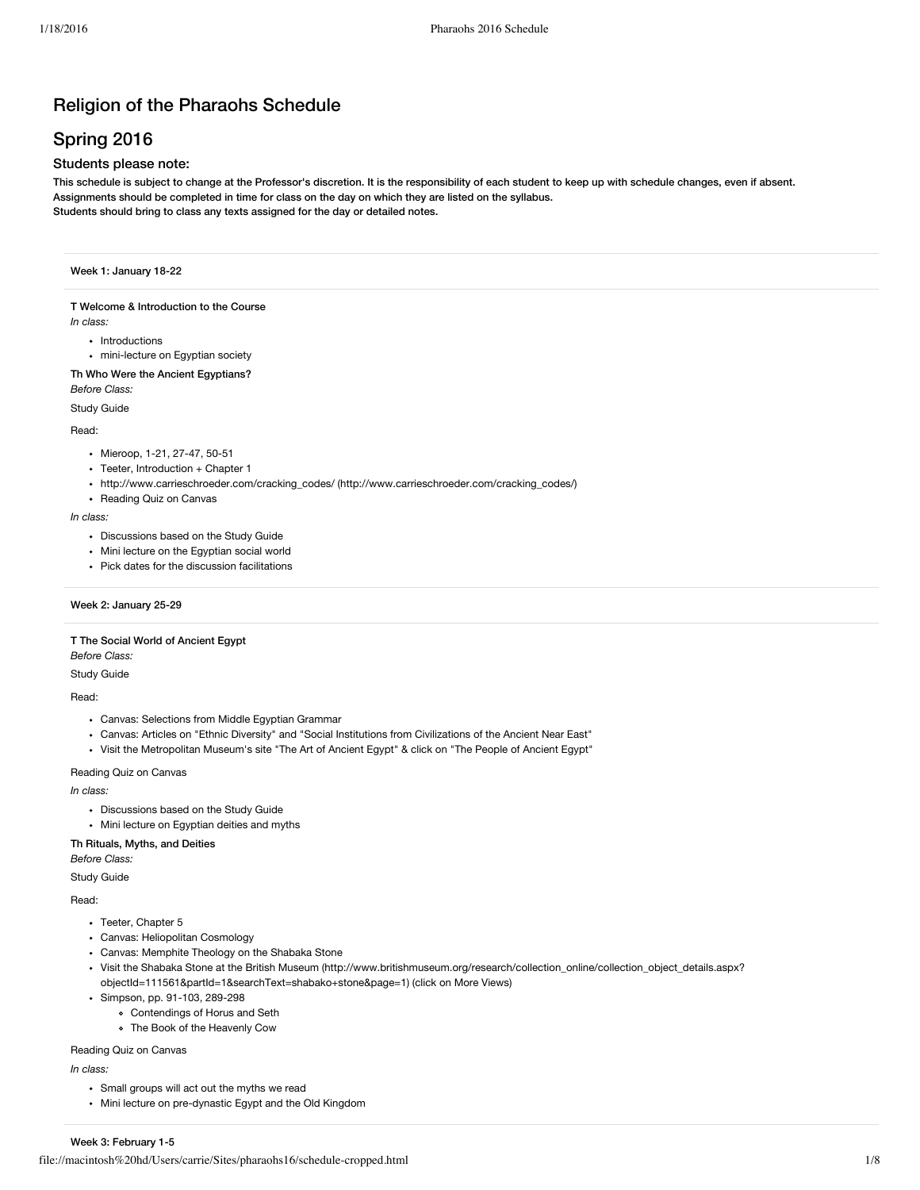# Religion of the Pharaohs Schedule

# Spring 2016

## Students please note:

This schedule is subject to change at the Professor's discretion. It is the responsibility of each student to keep up with schedule changes, even if absent. Assignments should be completed in time for class on the day on which they are listed on the syllabus. Students should bring to class any texts assigned for the day or detailed notes.

## Week 1: January 18-22

## T Welcome & Introduction to the Course

*In class:*

- Introductions
- mini-lecture on Egyptian society

## Th Who Were the Ancient Egyptians? *Before Class:*

Study Guide

#### Read:

- Mieroop, 1-21, 27-47, 50-51
- Teeter, Introduction + Chapter 1
- http://www.carrieschroeder.com/cracking\_codes/ [\(http://www.carrieschroeder.com/cracking\\_codes/\)](http://www.carrieschroeder.com/cracking_codes/)
- Reading Quiz on Canvas

#### *In class:*

- Discussions based on the Study Guide
- Mini lecture on the Egyptian social world
- Pick dates for the discussion facilitations

## Week 2: January 25-29

## T The Social World of Ancient Egypt

*Before Class:*

## Study Guide

#### Read:

- Canvas: Selections from Middle Egyptian Grammar
- Canvas: Articles on "Ethnic Diversity" and "Social Institutions from Civilizations of the Ancient Near East"
- Visit the Metropolitan Museum's site "The Art of Ancient Egypt" & click on "The People of Ancient Egypt"

#### Reading Quiz on Canvas

*In class:*

- Discussions based on the Study Guide
- Mini lecture on Egyptian deities and myths

#### Th Rituals, Myths, and Deities

*Before Class:*

Study Guide

#### Read:

- Teeter, Chapter 5
- Canvas: Heliopolitan Cosmology
- Canvas: Memphite Theology on the Shabaka Stone
- Visit the Shabaka Stone at the British Museum [\(http://www.britishmuseum.org/research/collection\\_online/collection\\_object\\_details.aspx?](http://www.britishmuseum.org/research/collection_online/collection_object_details.aspx?objectId=111561&partId=1&searchText=shabako+stone&page=1) objectId=111561&partId=1&searchText=shabako+stone&page=1) (click on More Views)
- Simpson, pp. 91-103, 289-298
	- Contendings of Horus and Seth
	- The Book of the Heavenly Cow

#### Reading Quiz on Canvas

*In class:*

- Small groups will act out the myths we read
- Mini lecture on pre-dynastic Egypt and the Old Kingdom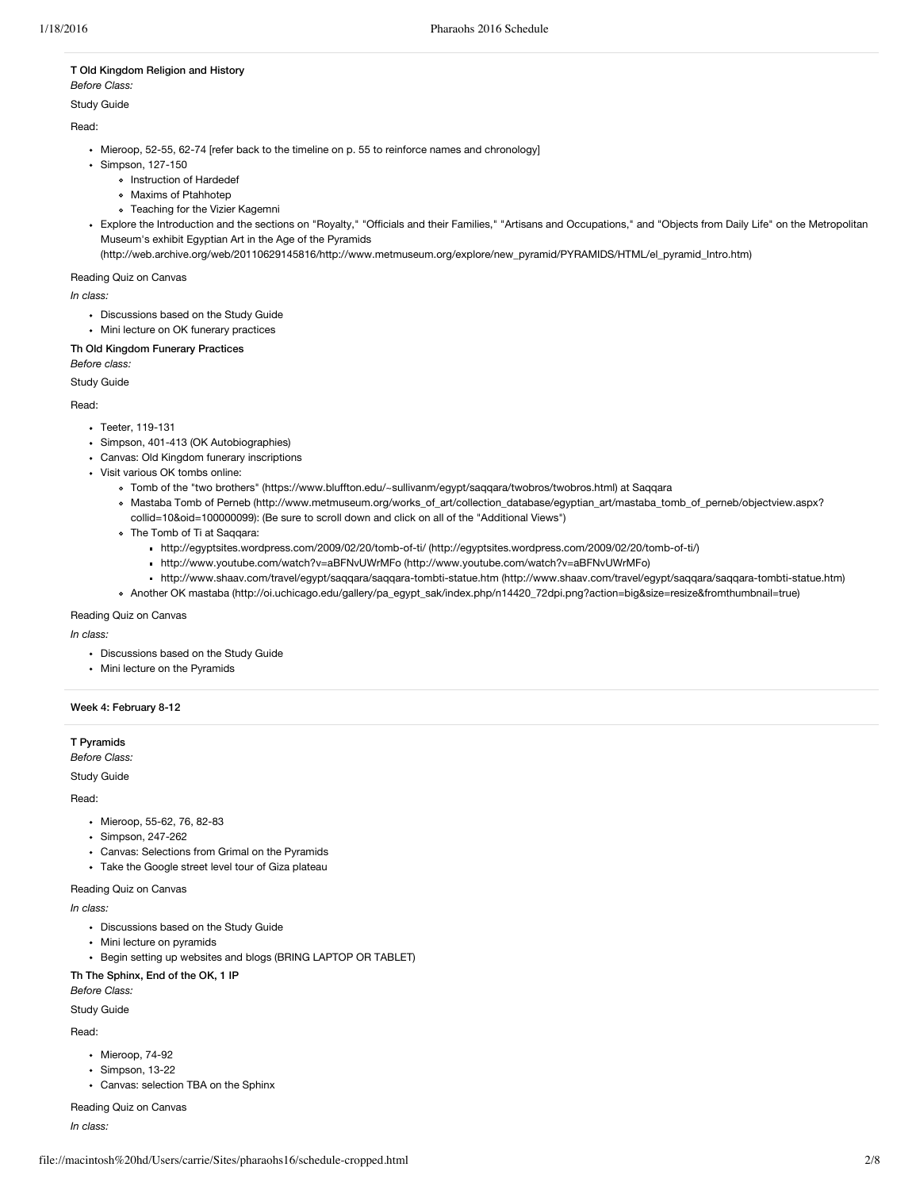## T Old Kingdom Religion and History *Before Class:*

Study Guide

## Read:

- Mieroop, 52-55, 62-74 [refer back to the timeline on p. 55 to reinforce names and chronology]
- Simpson, 127-150
	- o Instruction of Hardedef
	- Maxims of Ptahhotep
	- Teaching for the Vizier Kagemni
- Explore the Introduction and the sections on "Royalty," "Officials and their Families," "Artisans and Occupations," and "Objects from Daily Life" on the Metropolitan Museum's exhibit Egyptian Art in the Age of the Pyramids

[\(http://web.archive.org/web/20110629145816/http://www.metmuseum.org/explore/new\\_pyramid/PYRAMIDS/HTML/el\\_pyramid\\_Intro.htm\)](http://web.archive.org/web/20110629145816/http://www.metmuseum.org/explore/new_pyramid/PYRAMIDS/HTML/el_pyramid_Intro.htm)

#### Reading Quiz on Canvas

*In class:*

- Discussions based on the Study Guide
- Mini lecture on OK funerary practices

### Th Old Kingdom Funerary Practices

*Before class:*

Study Guide

#### Read:

- Teeter, 119-131
- Simpson, 401-413 (OK Autobiographies)
- Canvas: Old Kingdom funerary inscriptions
- Visit various OK tombs online:
	- Tomb of the "two brothers" [\(https://www.bluffton.edu/~sullivanm/egypt/saqqara/twobros/twobros.html\)](https://www.bluffton.edu/~sullivanm/egypt/saqqara/twobros/twobros.html) at Saqqara
	- Mastaba Tomb of Perneb [\(http://www.metmuseum.org/works\\_of\\_art/collection\\_database/egyptian\\_art/mastaba\\_tomb\\_of\\_perneb/objectview.aspx?](http://www.metmuseum.org/works_of_art/collection_database/egyptian_art/mastaba_tomb_of_perneb/objectview.aspx?collid=10&oid=100000099) collid=10&oid=100000099): (Be sure to scroll down and click on all of the "Additional Views")
	- The Tomb of Ti at Saqqara:
		- http://egyptsites.wordpress.com/2009/02/20/tomb-of-ti/ [\(http://egyptsites.wordpress.com/2009/02/20/tomb-of-ti/\)](http://egyptsites.wordpress.com/2009/02/20/tomb-of-ti/)
		- http://www.youtube.com/watch?v=aBFNvUWrMFo [\(http://www.youtube.com/watch?v=aBFNvUWrMFo\)](http://www.youtube.com/watch?v=aBFNvUWrMFo)
		- http://www.shaav.com/travel/egypt/saqqara/saqqara-tombti-statue.htm [\(http://www.shaav.com/travel/egypt/saqqara/saqqara-tombti-statue.htm\)](http://www.shaav.com/travel/egypt/saqqara/saqqara-tombti-statue.htm)
	- Another OK mastaba [\(http://oi.uchicago.edu/gallery/pa\\_egypt\\_sak/index.php/n14420\\_72dpi.png?action=big&size=resize&fromthumbnail=true\)](http://oi.uchicago.edu/gallery/pa_egypt_sak/index.php/n14420_72dpi.png?action=big&size=resize&fromthumbnail=true)

## Reading Quiz on Canvas

*In class:*

- Discussions based on the Study Guide
- Mini lecture on the Pyramids

#### Week 4: February 8-12

## T Pyramids

*Before Class:*

Study Guide

#### Read:

- Mieroop, 55-62, 76, 82-83
- Simpson, 247-262
- Canvas: Selections from Grimal on the Pyramids
- Take the Google street level tour of Giza plateau
- Reading Quiz on Canvas

#### *In class:*

- Discussions based on the Study Guide
- Mini lecture on pyramids
- Begin setting up websites and blogs (BRING LAPTOP OR TABLET)

#### Th The Sphinx, End of the OK, 1 IP

*Before Class:*

#### Study Guide

Read:

- Mieroop, 74-92
- Simpson, 13-22
- Canvas: selection TBA on the Sphinx

Reading Quiz on Canvas

*In class:*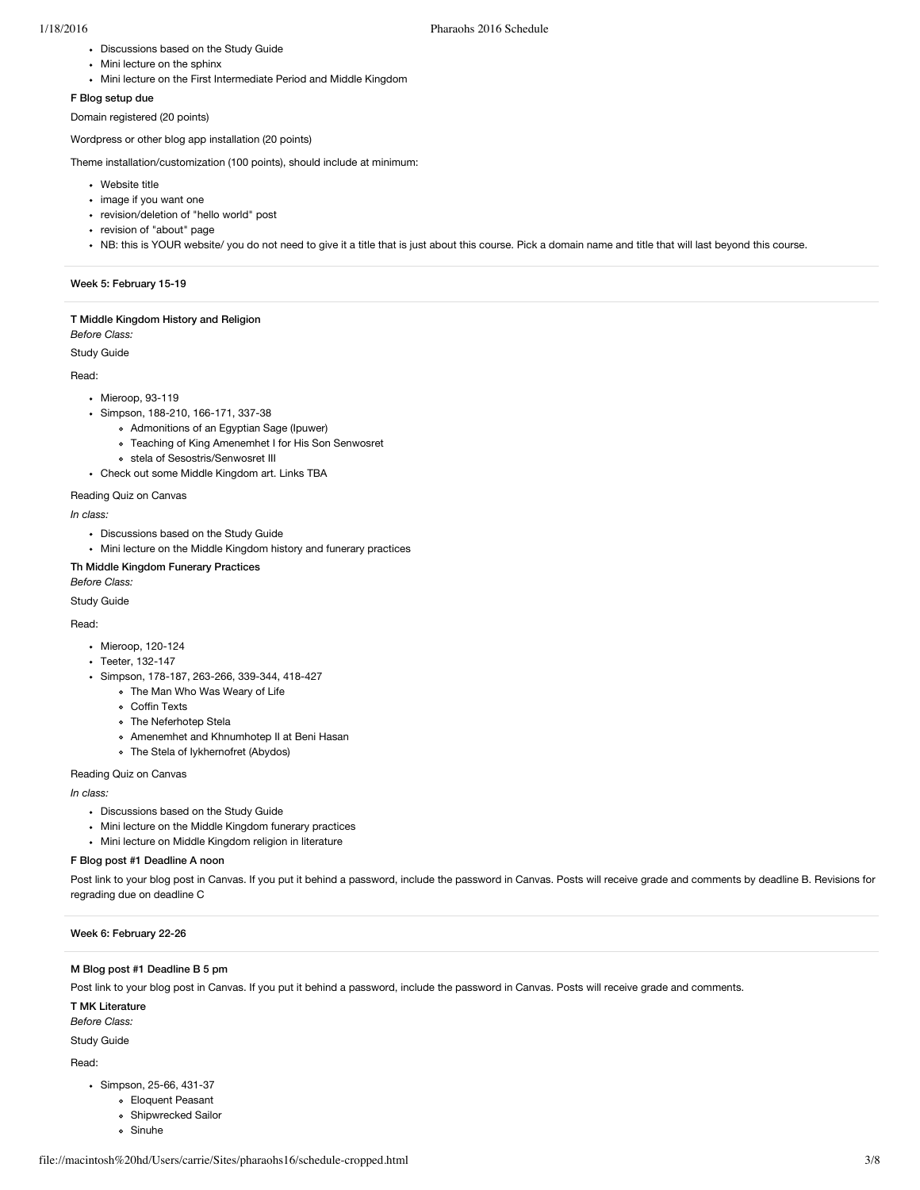- Discussions based on the Study Guide
- Mini lecture on the sphinx
- Mini lecture on the First Intermediate Period and Middle Kingdom

#### F Blog setup due

Domain registered (20 points)

Wordpress or other blog app installation (20 points)

Theme installation/customization (100 points), should include at minimum:

- Website title
- image if you want one
- revision/deletion of "hello world" post
- revision of "about" page
- NB: this is YOUR website/ you do not need to give it a title that is just about this course. Pick a domain name and title that will last beyond this course.

#### Week 5: February 15-19

## T Middle Kingdom History and Religion

## *Before Class:*

Study Guide

#### Read:

- Mieroop, 93-119
- Simpson, 188-210, 166-171, 337-38
	- Admonitions of an Egyptian Sage (Ipuwer)
	- Teaching of King Amenemhet I for His Son Senwosret
	- stela of Sesostris/Senwosret III
- Check out some Middle Kingdom art. Links TBA

#### Reading Quiz on Canvas

*In class:*

- Discussions based on the Study Guide
- Mini lecture on the Middle Kingdom history and funerary practices

#### Th Middle Kingdom Funerary Practices *Before Class:*

Study Guide

## Read:

- Mieroop, 120-124
- Teeter, 132-147
- Simpson, 178-187, 263-266, 339-344, 418-427
	- The Man Who Was Weary of Life
	- Coffin Texts
	- The Neferhotep Stela
	- Amenemhet and Khnumhotep II at Beni Hasan
	- The Stela of Iykhernofret (Abydos)

## Reading Quiz on Canvas

*In class:*

- Discussions based on the Study Guide
- Mini lecture on the Middle Kingdom funerary practices
- Mini lecture on Middle Kingdom religion in literature

## F Blog post #1 Deadline A noon

Post link to your blog post in Canvas. If you put it behind a password, include the password in Canvas. Posts will receive grade and comments by deadline B. Revisions for regrading due on deadline C

#### Week 6: February 22-26

## M Blog post #1 Deadline B 5 pm

Post link to your blog post in Canvas. If you put it behind a password, include the password in Canvas. Posts will receive grade and comments.

T MK Literature

*Before Class:*

Study Guide

Read:

- Simpson, 25-66, 431-37
	- Eloquent Peasant
	- Shipwrecked Sailor
	- Sinuhe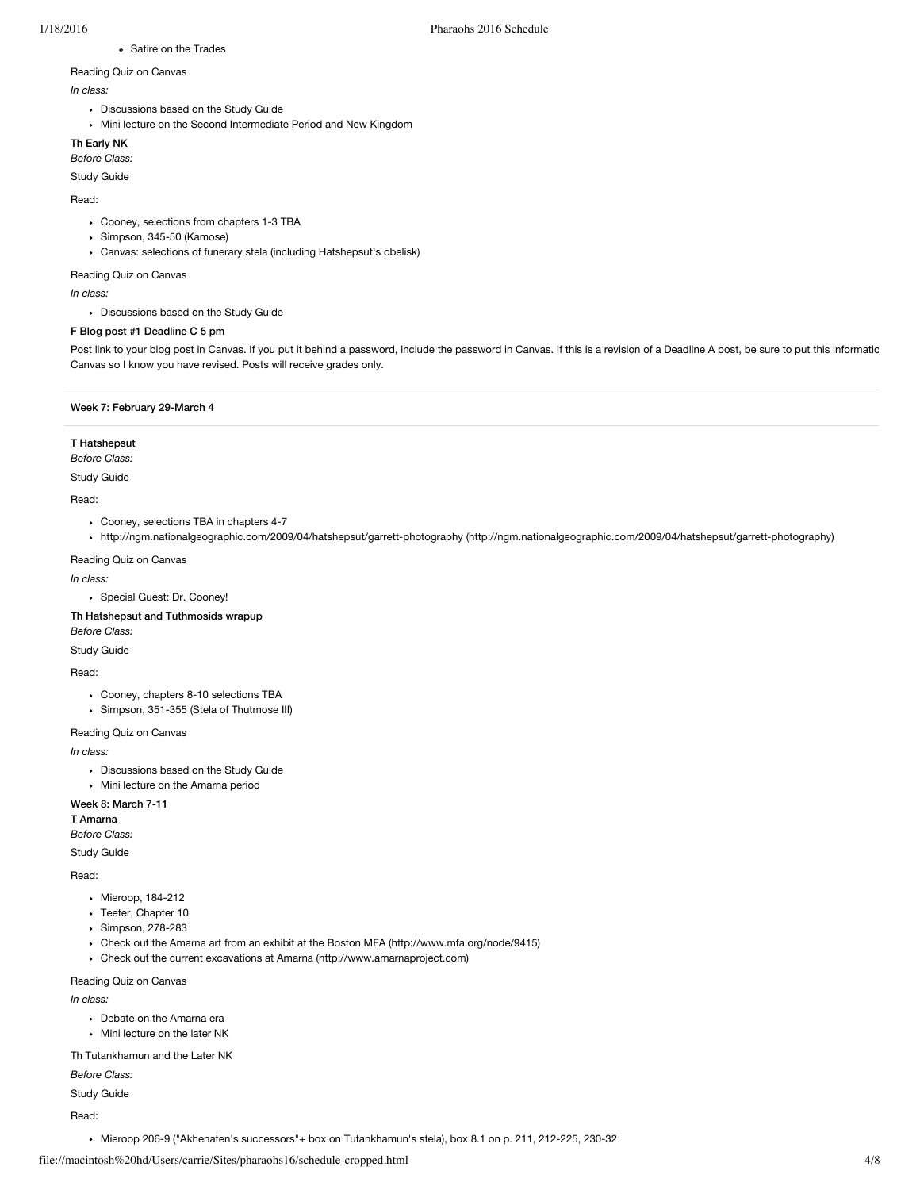## Satire on the Trades

# Reading Quiz on Canvas

- *In class:*
	- Discussions based on the Study Guide
- Mini lecture on the Second Intermediate Period and New Kingdom

## Th Early NK

### *Before Class:*

Study Guide

## Read:

- Cooney, selections from chapters 1-3 TBA
- Simpson, 345-50 (Kamose)
- Canvas: selections of funerary stela (including Hatshepsut's obelisk)

### Reading Quiz on Canvas

*In class:*

Discussions based on the Study Guide

## F Blog post #1 Deadline C 5 pm

Post link to your blog post in Canvas. If you put it behind a password, include the password in Canvas. If this is a revision of a Deadline A post, be sure to put this informatic Canvas so I know you have revised. Posts will receive grades only.

## Week 7: February 29-March 4

## T Hatshepsut

*Before Class:*

Study Guide

### Read:

- Cooney, selections TBA in chapters 4-7
- http://ngm.nationalgeographic.com/2009/04/hatshepsut/garrett-photography [\(http://ngm.nationalgeographic.com/2009/04/hatshepsut/garrett-photography\)](http://ngm.nationalgeographic.com/2009/04/hatshepsut/garrett-photography)

## Reading Quiz on Canvas

#### *In class:*

Special Guest: Dr. Cooney!

## Th Hatshepsut and Tuthmosids wrapup

*Before Class:*

## Study Guide

#### Read:

- Cooney, chapters 8-10 selections TBA
- Simpson, 351-355 (Stela of Thutmose III)

## Reading Quiz on Canvas

*In class:*

- Discussions based on the Study Guide
- Mini lecture on the Amarna period

## Week 8: March 7-11

T Amarna *Before Class:*

Study Guide

#### Read:

- Mieroop, 184-212
- Teeter, Chapter 10
- Simpson, 278-283
- Check out the Amarna art from an exhibit at the Boston MFA [\(http://www.mfa.org/node/9415\)](http://www.mfa.org/node/9415)
- Check out the current excavations at Amarna [\(http://www.amarnaproject.com\)](http://www.amarnaproject.com/)

## Reading Quiz on Canvas

*In class:*

- Debate on the Amarna era
- Mini lecture on the later NK

Th Tutankhamun and the Later NK

## *Before Class:*

Study Guide

Read:

Mieroop 206-9 ("Akhenaten's successors"+ box on Tutankhamun's stela), box 8.1 on p. 211, 212-225, 230-32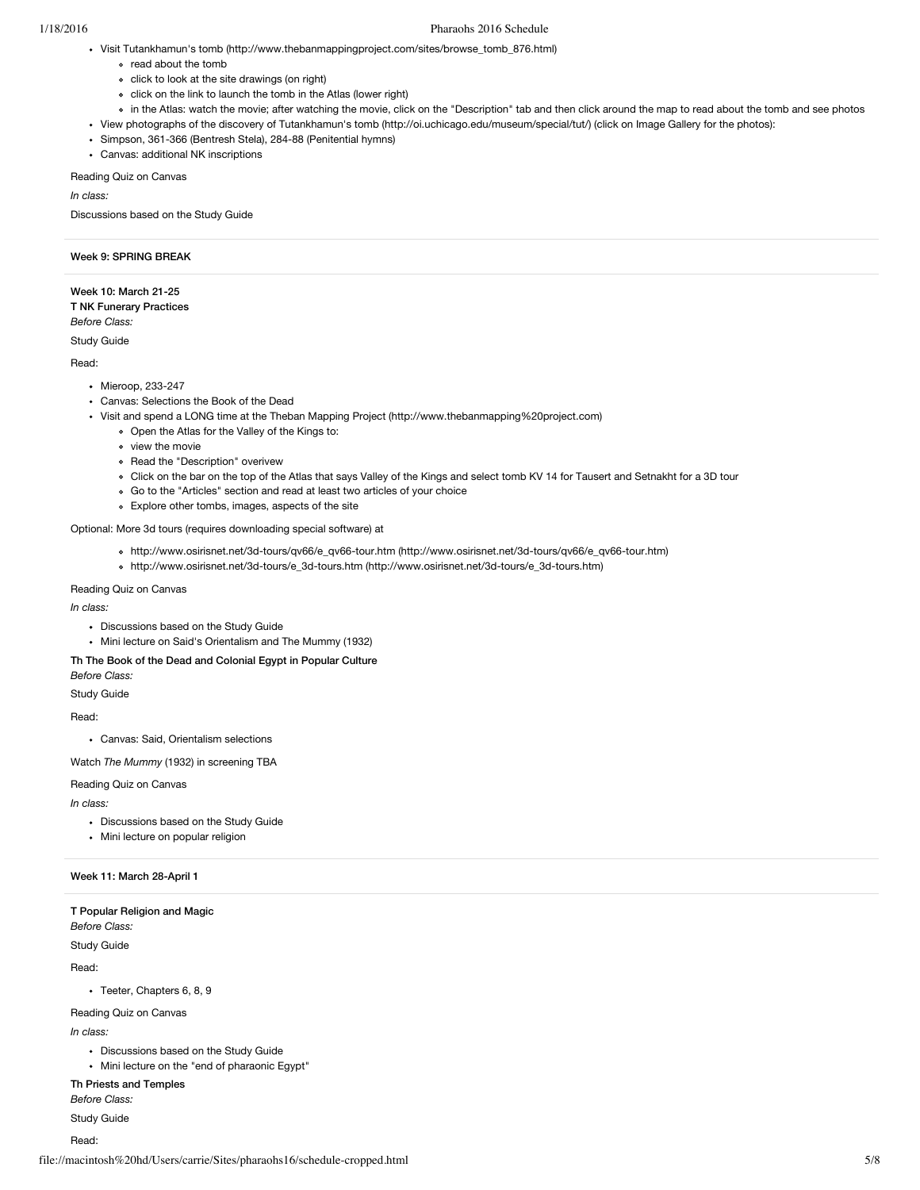- Visit Tutankhamun's tomb [\(http://www.thebanmappingproject.com/sites/browse\\_tomb\\_876.html\)](http://www.thebanmappingproject.com/sites/browse_tomb_876.html)
	- read about the tomb
	- click to look at the site drawings (on right)
	- click on the link to launch the tomb in the Atlas (lower right)
	- in the Atlas: watch the movie; after watching the movie, click on the "Description" tab and then click around the map to read about the tomb and see photos
- View photographs of the discovery of Tutankhamun's tomb [\(http://oi.uchicago.edu/museum/special/tut/\)](http://oi.uchicago.edu/museum/special/tut/) (click on Image Gallery for the photos):
- Simpson, 361-366 (Bentresh Stela), 284-88 (Penitential hymns)
- Canvas: additional NK inscriptions

Reading Quiz on Canvas

*In class:*

Discussions based on the Study Guide

## Week 9: SPRING BREAK

Week 10: March 21-25 T NK Funerary Practices *Before Class:*

Study Guide

Read:

- Mieroop, 233-247
- Canvas: Selections the Book of the Dead
- Visit and spend a LONG time at the Theban Mapping Project [\(http://www.thebanmapping%20project.com\)](http://www.thebanmapping%20project.com/)
	- Open the Atlas for the Valley of the Kings to:
	- view the movie
	- Read the "Description" overivew
	- Click on the bar on the top of the Atlas that says Valley of the Kings and select tomb KV 14 for Tausert and Setnakht for a 3D tour
	- Go to the "Articles" section and read at least two articles of your choice
	- Explore other tombs, images, aspects of the site

Optional: More 3d tours (requires downloading special software) at

- http://www.osirisnet.net/3d-tours/qv66/e\_qv66-tour.htm [\(http://www.osirisnet.net/3d-tours/qv66/e\\_qv66-tour.htm\)](http://www.osirisnet.net/3d-tours/qv66/e_qv66-tour.htm)
- http://www.osirisnet.net/3d-tours/e\_3d-tours.htm [\(http://www.osirisnet.net/3d-tours/e\\_3d-tours.htm\)](http://www.osirisnet.net/3d-tours/e_3d-tours.htm)

## Reading Quiz on Canvas

*In class:*

- Discussions based on the Study Guide
- Mini lecture on Said's Orientalism and The Mummy (1932)

Th The Book of the Dead and Colonial Egypt in Popular Culture

*Before Class:*

Study Guide

Read:

Canvas: Said, Orientalism selections

Watch *The Mummy* (1932) in screening TBA

#### Reading Quiz on Canvas

*In class:*

- Discussions based on the Study Guide
- Mini lecture on popular religion

#### Week 11: March 28-April 1

T Popular Religion and Magic

*Before Class:*

Study Guide

Read:

Teeter, Chapters 6, 8, 9

Reading Quiz on Canvas

*In class:*

- Discussions based on the Study Guide
- Mini lecture on the "end of pharaonic Egypt"

Th Priests and Temples

*Before Class:*

Study Guide

Read: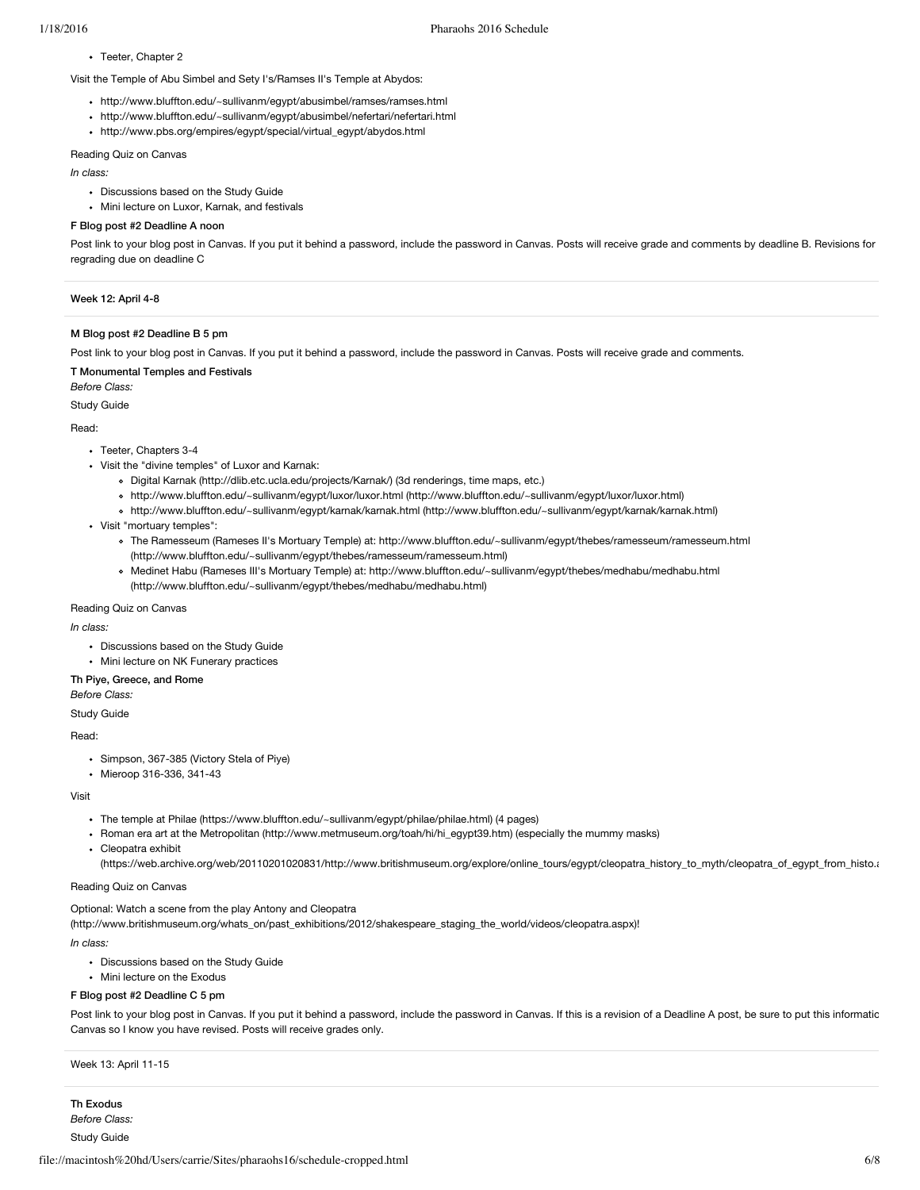## • Teeter, Chapter 2

Visit the Temple of Abu Simbel and Sety I's/Ramses II's Temple at Abydos:

- http://www.bluffton.edu/~sullivanm/egypt/abusimbel/ramses/ramses.html
- http://www.bluffton.edu/~sullivanm/egypt/abusimbel/nefertari/nefertari.html
- http://www.pbs.org/empires/egypt/special/virtual\_egypt/abydos.html

## Reading Quiz on Canvas

#### *In class:*

- Discussions based on the Study Guide
- Mini lecture on Luxor, Karnak, and festivals

## F Blog post #2 Deadline A noon

Post link to your blog post in Canvas. If you put it behind a password, include the password in Canvas. Posts will receive grade and comments by deadline B. Revisions for regrading due on deadline C

#### Week 12: April 4-8

### M Blog post #2 Deadline B 5 pm

Post link to your blog post in Canvas. If you put it behind a password, include the password in Canvas. Posts will receive grade and comments.

## T Monumental Temples and Festivals

*Before Class:*

Study Guide

Read:

- Teeter, Chapters 3-4
- Visit the "divine temples" of Luxor and Karnak:
	- Digital Karnak [\(http://dlib.etc.ucla.edu/projects/Karnak/\)](http://dlib.etc.ucla.edu/projects/Karnak/) (3d renderings, time maps, etc.)
	- http://www.bluffton.edu/~sullivanm/egypt/luxor/luxor.html [\(http://www.bluffton.edu/~sullivanm/egypt/luxor/luxor.html\)](http://www.bluffton.edu/~sullivanm/egypt/luxor/luxor.html)
	- http://www.bluffton.edu/~sullivanm/egypt/karnak/karnak.html [\(http://www.bluffton.edu/~sullivanm/egypt/karnak/karnak.html\)](http://www.bluffton.edu/~sullivanm/egypt/karnak/karnak.html)
- Visit "mortuary temples":
	- The Ramesseum (Rameses II's Mortuary Temple) at: http://www.bluffton.edu/~sullivanm/egypt/thebes/ramesseum/ramesseum.html [\(http://www.bluffton.edu/~sullivanm/egypt/thebes/ramesseum/ramesseum.html\)](http://www.bluffton.edu/~sullivanm/egypt/thebes/ramesseum/ramesseum.html)
	- Medinet Habu (Rameses III's Mortuary Temple) at: http://www.bluffton.edu/~sullivanm/egypt/thebes/medhabu/medhabu.html [\(http://www.bluffton.edu/~sullivanm/egypt/thebes/medhabu/medhabu.html\)](http://www.bluffton.edu/~sullivanm/egypt/thebes/medhabu/medhabu.html)

#### Reading Quiz on Canvas

*In class:*

- Discussions based on the Study Guide
- Mini lecture on NK Funerary practices

## Th Piye, Greece, and Rome

*Before Class:*

Study Guide

#### Read:

- Simpson, 367-385 (Victory Stela of Piye)
- Mieroop 316-336, 341-43

#### Visit

- The temple at Philae [\(https://www.bluffton.edu/~sullivanm/egypt/philae/philae.html\)](https://www.bluffton.edu/~sullivanm/egypt/philae/philae.html) (4 pages)
- Roman era art at the Metropolitan [\(http://www.metmuseum.org/toah/hi/hi\\_egypt39.htm\)](http://www.metmuseum.org/toah/hi/hi_egypt39.htm) (especially the mummy masks)
- Cleopatra exhibit
	- [\(https://web.archive.org/web/20110201020831/http://www.britishmuseum.org/explore/online\\_tours/egypt/cleopatra\\_history\\_to\\_myth/cleopatra\\_of\\_egypt\\_from\\_histo.a](https://web.archive.org/web/20110201020831/http://www.britishmuseum.org/explore/online_tours/egypt/cleopatra_history_to_myth/cleopatra_of_egypt_from_histo.aspx)spx)

### Reading Quiz on Canvas

Optional: Watch a scene from the play Antony and Cleopatra

[\(http://www.britishmuseum.org/whats\\_on/past\\_exhibitions/2012/shakespeare\\_staging\\_the\\_world/videos/cleopatra.aspx\)](http://www.britishmuseum.org/whats_on/past_exhibitions/2012/shakespeare_staging_the_world/videos/cleopatra.aspx)!

*In class:*

- Discussions based on the Study Guide
- Mini lecture on the Exodus

#### F Blog post #2 Deadline C 5 pm

Post link to your blog post in Canvas. If you put it behind a password, include the password in Canvas. If this is a revision of a Deadline A post, be sure to put this informatic Canvas so I know you have revised. Posts will receive grades only.

## Week 13: April 11-15

Th Exodus *Before Class:* Study Guide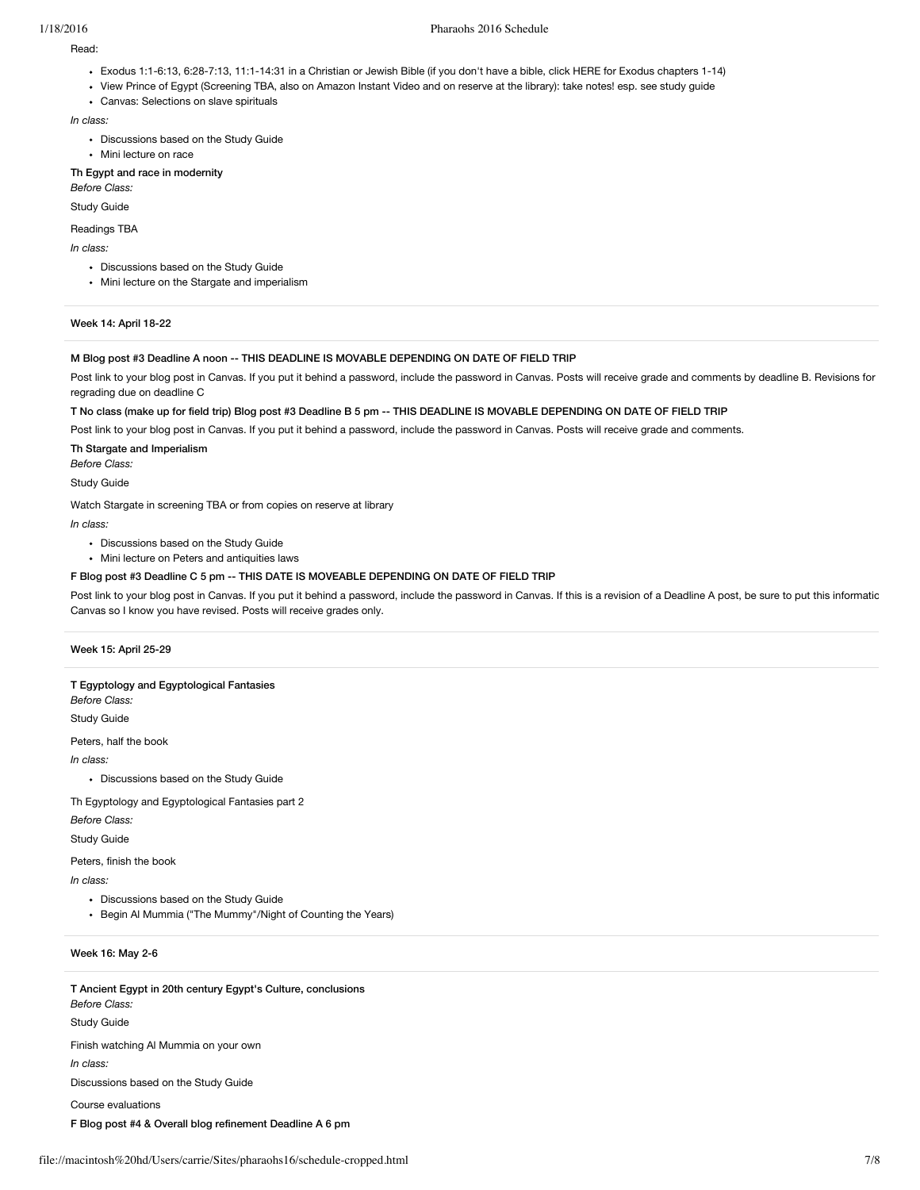## 1/18/2016 Pharaohs 2016 Schedule

Read:

- Exodus 1:1-6:13, 6:28-7:13, 11:1-14:31 in a Christian or Jewish Bible (if you don't have a bible, click HERE for Exodus chapters 1-14)
- View Prince of Egypt (Screening TBA, also on Amazon Instant Video and on reserve at the library): take notes! esp. see study guide
- Canvas: Selections on slave spirituals

*In class:*

- Discussions based on the Study Guide
- Mini lecture on race

#### Th Egypt and race in modernity *Before Class:*

Study Guide

#### Readings TBA

*In class:*

- Discussions based on the Study Guide
- Mini lecture on the Stargate and imperialism

## Week 14: April 18-22

#### M Blog post #3 Deadline A noon -- THIS DEADLINE IS MOVABLE DEPENDING ON DATE OF FIELD TRIP

Post link to your blog post in Canvas. If you put it behind a password, include the password in Canvas. Posts will receive grade and comments by deadline B. Revisions for regrading due on deadline C

T No class (make up for field trip) Blog post #3 Deadline B 5 pm -- THIS DEADLINE IS MOVABLE DEPENDING ON DATE OF FIELD TRIP

Post link to your blog post in Canvas. If you put it behind a password, include the password in Canvas. Posts will receive grade and comments.

Th Stargate and Imperialism

*Before Class:* Study Guide

Watch Stargate in screening TBA or from copies on reserve at library

*In class:*

- Discussions based on the Study Guide
- Mini lecture on Peters and antiquities laws

### F Blog post #3 Deadline C 5 pm -- THIS DATE IS MOVEABLE DEPENDING ON DATE OF FIELD TRIP

Post link to your blog post in Canvas. If you put it behind a password, include the password in Canvas. If this is a revision of a Deadline A post, be sure to put this informatic Canvas so I know you have revised. Posts will receive grades only.

## Week 15: April 25-29

### T Egyptology and Egyptological Fantasies

*Before Class:*

Study Guide

Peters, half the book

*In class:*

Discussions based on the Study Guide

Th Egyptology and Egyptological Fantasies part 2

*Before Class:*

Study Guide

Peters, finish the book

*In class:*

- Discussions based on the Study Guide
- Begin Al Mummia ("The Mummy"/Night of Counting the Years)

## Week 16: May 2-6

T Ancient Egypt in 20th century Egypt's Culture, conclusions *Before Class:* Study Guide Finish watching Al Mummia on your own *In class:* Discussions based on the Study Guide Course evaluations F Blog post #4 & Overall blog refinement Deadline A 6 pm